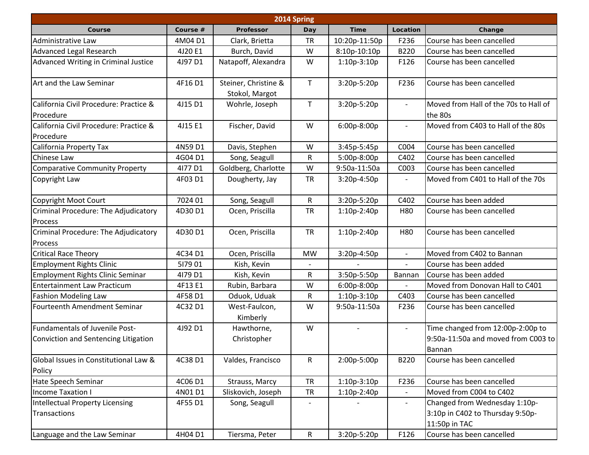| 2014 Spring                                                            |          |                                        |                          |                |                          |                                                                                    |  |  |  |  |
|------------------------------------------------------------------------|----------|----------------------------------------|--------------------------|----------------|--------------------------|------------------------------------------------------------------------------------|--|--|--|--|
| Course                                                                 | Course # | Professor                              | Day                      | <b>Time</b>    | Location                 | Change                                                                             |  |  |  |  |
| Administrative Law                                                     | 4M04D1   | Clark, Brietta                         | <b>TR</b>                | 10:20p-11:50p  | F236                     | Course has been cancelled                                                          |  |  |  |  |
| <b>Advanced Legal Research</b>                                         | 4J20 E1  | Burch, David                           | W                        | 8:10p-10:10p   | B220                     | Course has been cancelled                                                          |  |  |  |  |
| Advanced Writing in Criminal Justice                                   | 4J97 D1  | Natapoff, Alexandra                    | W                        | $1:10p-3:10p$  | F126                     | Course has been cancelled                                                          |  |  |  |  |
| Art and the Law Seminar                                                | 4F16D1   | Steiner, Christine &<br>Stokol, Margot | $\mathsf{T}$             | 3:20p-5:20p    | F236                     | Course has been cancelled                                                          |  |  |  |  |
| California Civil Procedure: Practice &<br>Procedure                    | 4J15 D1  | Wohrle, Joseph                         | $\mathsf{T}$             | 3:20p-5:20p    | $\overline{\phantom{a}}$ | Moved from Hall of the 70s to Hall of<br>the 80s                                   |  |  |  |  |
| California Civil Procedure: Practice &<br>Procedure                    | 4J15 E1  | Fischer, David                         | W                        | 6:00p-8:00p    | $\overline{\phantom{a}}$ | Moved from C403 to Hall of the 80s                                                 |  |  |  |  |
| California Property Tax                                                | 4N59 D1  | Davis, Stephen                         | W                        | 3:45p-5:45p    | C004                     | Course has been cancelled                                                          |  |  |  |  |
| Chinese Law                                                            | 4G04 D1  | Song, Seagull                          | ${\sf R}$                | 5:00p-8:00p    | C402                     | Course has been cancelled                                                          |  |  |  |  |
| <b>Comparative Community Property</b>                                  | 4177 D1  | Goldberg, Charlotte                    | W                        | 9:50a-11:50a   | C003                     | Course has been cancelled                                                          |  |  |  |  |
| Copyright Law                                                          | 4F03 D1  | Dougherty, Jay                         | <b>TR</b>                | 3:20p-4:50p    | $\overline{\phantom{a}}$ | Moved from C401 to Hall of the 70s                                                 |  |  |  |  |
| Copyright Moot Court                                                   | 7024 01  | Song, Seagull                          | ${\sf R}$                | 3:20p-5:20p    | C402                     | Course has been added                                                              |  |  |  |  |
| Criminal Procedure: The Adjudicatory<br>Process                        | 4D30 D1  | Ocen, Priscilla                        | <b>TR</b>                | 1:10p-2:40p    | H80                      | Course has been cancelled                                                          |  |  |  |  |
| Criminal Procedure: The Adjudicatory<br>Process                        | 4D30 D1  | Ocen, Priscilla                        | <b>TR</b>                | 1:10p-2:40p    | H80                      | Course has been cancelled                                                          |  |  |  |  |
| <b>Critical Race Theory</b>                                            | 4C34 D1  | Ocen, Priscilla                        | <b>MW</b>                | 3:20p-4:50p    | $\blacksquare$           | Moved from C402 to Bannan                                                          |  |  |  |  |
| <b>Employment Rights Clinic</b>                                        | 517901   | Kish, Kevin                            |                          |                | $\blacksquare$           | Course has been added                                                              |  |  |  |  |
| <b>Employment Rights Clinic Seminar</b>                                | 4179 D1  | Kish, Kevin                            | R                        | 3:50p-5:50p    | Bannan                   | Course has been added                                                              |  |  |  |  |
| <b>Entertainment Law Practicum</b>                                     | 4F13 E1  | Rubin, Barbara                         | W                        | 6:00p-8:00p    |                          | Moved from Donovan Hall to C401                                                    |  |  |  |  |
| <b>Fashion Modeling Law</b>                                            | 4F58 D1  | Oduok, Uduak                           | ${\sf R}$                | $1:10p-3:10p$  | C403                     | Course has been cancelled                                                          |  |  |  |  |
| Fourteenth Amendment Seminar                                           | 4C32 D1  | West-Faulcon,<br>Kimberly              | W                        | 9:50a-11:50a   | F236                     | Course has been cancelled                                                          |  |  |  |  |
| Fundamentals of Juvenile Post-<br>Conviction and Sentencing Litigation | 4J92 D1  | Hawthorne,<br>Christopher              | W                        | $\blacksquare$ | $\overline{\phantom{a}}$ | Time changed from 12:00p-2:00p to<br>9:50a-11:50a and moved from C003 to<br>Bannan |  |  |  |  |
| Global Issues in Constitutional Law &<br>Policy                        | 4C38 D1  | Valdes, Francisco                      | $\mathsf{R}$             | 2:00p-5:00p    | B220                     | Course has been cancelled                                                          |  |  |  |  |
| Hate Speech Seminar                                                    | 4C06 D1  | Strauss, Marcy                         | <b>TR</b>                | $1:10p-3:10p$  | F236                     | Course has been cancelled                                                          |  |  |  |  |
| Income Taxation I                                                      | 4N01D1   | Sliskovich, Joseph                     | <b>TR</b>                | $1:10p-2:40p$  |                          | Moved from C004 to C402                                                            |  |  |  |  |
| Intellectual Property Licensing<br>Transactions                        | 4F55 D1  | Song, Seagull                          | $\overline{\phantom{a}}$ |                | $\sim$                   | Changed from Wednesday 1:10p-<br>3:10p in C402 to Thursday 9:50p-<br>11:50p in TAC |  |  |  |  |
| Language and the Law Seminar                                           | 4H04 D1  | Tiersma, Peter                         | $\mathsf{R}$             | 3:20p-5:20p    | F126                     | Course has been cancelled                                                          |  |  |  |  |